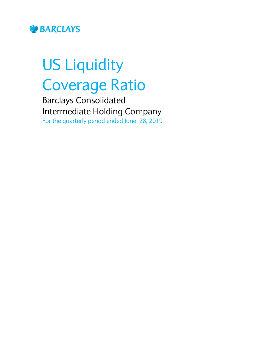

# US Liquidity Coverage Ratio

Barclays Consolidated Intermediate Holding Company For the quarterly period ended June 28, 2019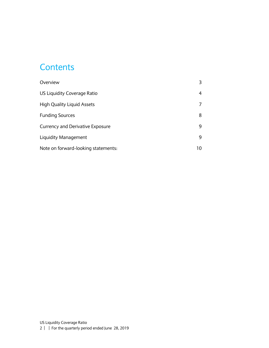#### **Contents**

| Overview                                |    |
|-----------------------------------------|----|
| US Liquidity Coverage Ratio             | 4  |
| <b>High Quality Liquid Assets</b>       |    |
| <b>Funding Sources</b>                  | 8  |
| <b>Currency and Derivative Exposure</b> | 9  |
| Liquidity Management                    | 9  |
| Note on forward-looking statements:     | 10 |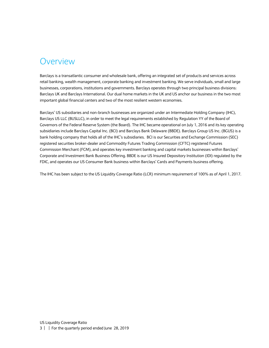#### <span id="page-2-0"></span>Overview

Barclays is a transatlantic consumer and wholesale bank, offering an integrated set of products and services across retail banking, wealth management, corporate banking and investment banking. We serve individuals, small and large businesses, corporations, institutions and governments. Barclays operates through two principal business divisions: Barclays UK and Barclays International. Our dual home markets in the UK and US anchor our business in the two most important global financial centers and two of the most resilient western economies.

Barclays' US subsidiaries and non-branch businesses are organized under an Intermediate Holding Company (IHC), Barclays US LLC (BUSLLC), in order to meet the legal requirements established by Regulation YY of the Board of Governors of the Federal Reserve System (the Board). The IHC became operational on July 1, 2016 and its key operating subsidiaries include Barclays Capital Inc. (BCI) and Barclays Bank Delaware (BBDE). Barclays Group US Inc. (BGUS) is a bank holding company that holds all of the IHC's subsidiaries. BCI is our Securities and Exchange Commission (SEC) registered securities broker-dealer and Commodity Futures Trading Commission (CFTC) registered Futures Commission Merchant (FCM), and operates key investment banking and capital markets businesses within Barclays' Corporate and Investment Bank Business Offering. BBDE is our US Insured Depository Institution (IDI) regulated by the FDIC, and operates our US Consumer Bank business within Barclays' Cards and Payments business offering.

The IHC has been subject to the US Liquidity Coverage Ratio (LCR) minimum requirement of 100% as of April 1, 2017.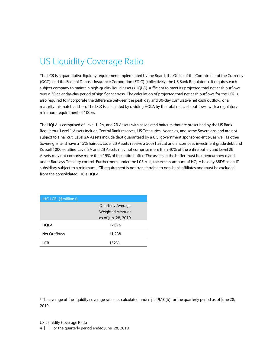## <span id="page-3-0"></span>US Liquidity Coverage Ratio

The LCR is a quantitative liquidity requirement implemented by the Board, the Office of the Comptroller of the Currency (OCC), and the Federal Deposit Insurance Corporation (FDIC) (collectively, the US Bank Regulators). It requires each subject company to maintain high-quality liquid assets (HQLA) sufficient to meet its projected total net cash outflows over a 30 calendar-day period of significant stress. The calculation of projected total net cash outflows for the LCR is also required to incorporate the difference between the peak day and 30-day cumulative net cash outflow, or a maturity mismatch add-on. The LCR is calculated by dividing HQLA by the total net cash outflows, with a regulatory minimum requirement of 100%.

The HQLA is comprised of Level 1, 2A, and 2B Assets with associated haircuts that are prescribed by the US Bank Regulators. Level 1 Assets include Central Bank reserves, US Treasuries, Agencies, and some Sovereigns and are not subject to a haircut. Level 2A Assets include debt guaranteed by a U.S. government sponsored entity, as well as other Sovereigns, and have a 15% haircut. Level 2B Assets receive a 50% haircut and encompass investment grade debt and Russell 1000 equities. Level 2A and 2B Assets may not comprise more than 40% of the entire buffer, and Level 2B Assets may not comprise more than 15% of the entire buffer. The assets in the buffer must be unencumbered and under Barclays Treasury control. Furthermore, under the LCR rule, the excess amount of HQLA held by BBDE as an IDI subsidiary subject to a minimum LCR requirement is not transferrable to non-bank affiliates and must be excluded from the consolidated IHC's HQLA.

| <b>IHC LCR (\$millions)</b> |                          |
|-----------------------------|--------------------------|
|                             | <b>Quarterly Average</b> |
|                             | <b>Weighted Amount</b>   |
|                             | as of Jun. 28, 2019      |
| HQLA                        | 17,076                   |
| Net Outflows                | 11,238                   |
| I CR                        | 152% <sup>1</sup>        |

<sup>1</sup>The average of the liquidity coverage ratios as calculated under § 249.10(b) for the quarterly period as of June 28, 2019.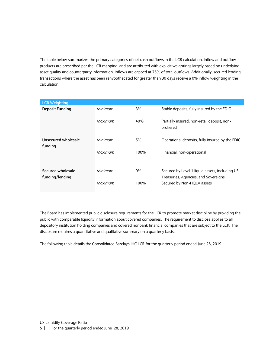The table below summarizes the primary categories of net cash outflows in the LCR calculation. Inflow and outflow products are prescribed per the LCR mapping, and are attributed with explicit weightings largely based on underlying asset quality and counterparty information. Inflows are capped at 75% of total outflows. Additionally, secured lending transactions where the asset has been rehypothecated for greater than 30 days receive a 0% inflow weighting in the calculation.

| <b>LCR Weighting</b>   |         |       |                                                         |
|------------------------|---------|-------|---------------------------------------------------------|
| <b>Deposit Funding</b> | Minimum | 3%    | Stable deposits, fully insured by the FDIC              |
|                        | Maximum | 40%   | Partially insured, non-retail deposit, non-<br>brokered |
| Unsecured wholesale    | Minimum | 5%    | Operational deposits, fully insured by the FDIC         |
| funding                |         |       |                                                         |
|                        | Maximum | 100%  | Financial, non-operational                              |
| Secured wholesale      | Minimum | $0\%$ | Secured by Level 1 liquid assets, including US          |
| funding/lending        |         |       | Treasuries, Agencies, and Sovereigns.                   |
|                        | Maximum | 100%  | Secured by Non-HQLA assets                              |

The Board has implemented public disclosure requirements for the LCR to promote market discipline by providing the public with comparable liquidity information about covered companies. The requirement to disclose applies to all depository institution holding companies and covered nonbank financial companies that are subject to the LCR. The disclosure requires a quantitative and qualitative summary on a quarterly basis.

The following table details the Consolidated Barclays IHC LCR for the quarterly period ended June 28, 2019.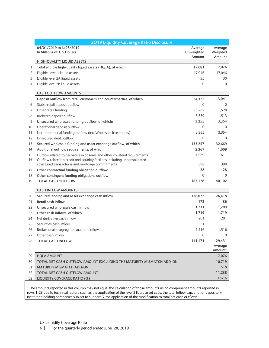|    | 2Q19 Liquidity Coverage Ratio Disclosure                                    |                                 |                                |
|----|-----------------------------------------------------------------------------|---------------------------------|--------------------------------|
|    | 04/01/2019 to 6/28/2019<br>In Millions of U.S Dollars                       | Average<br>Unweighted<br>Amount | Average<br>Weighted<br>Amount  |
|    | HIGH-QUALITY LIQUID ASSETS                                                  |                                 |                                |
| 1  | Total eligible high-quality liquid assets (HQLA), of which:                 | 17,081                          | 17,076                         |
| 2  | Eligible Level 1 liquid assets                                              | 17,046                          | 17,046                         |
| 3  | Eligible level 2A liquid assets                                             | 35                              | 30                             |
| 4  | Eligible level 2B liquid assets                                             | $\mathbf{0}$                    | $\Omega$                       |
|    | <b>CASH OUTFLOW AMOUNTS</b>                                                 |                                 |                                |
| 5  | Deposit outflow from retail customers and counterparties, of which:         | 24,122                          | 3,041                          |
| 6  | Stable retail deposit outflow                                               | $\mathbf{0}$                    | $\Omega$                       |
| 7  | Other retail funding                                                        | 15,282                          | 1,528                          |
| 8  | Brokered deposit outflow                                                    | 8,839                           | 1,513                          |
| 9  | Unsecured wholesale funding outflow, of which:                              | 3,355                           | 3,354                          |
| 10 | Operational deposit outflow                                                 | 0                               | $\Omega$                       |
| 11 | Non-operational funding outflow (incl Wholesale free credits)               | 3,355                           | 3,354                          |
| 12 | Unsecured debt outflow                                                      | $\mathbf{0}$                    | $\mathbf{0}$                   |
| 13 | Secured wholesale funding and asset exchange outflow, of which:             | 133,257                         | 32,669                         |
| 14 | Additional outflow requirements, of which:                                  | 2,367                           | 1,009                          |
| 15 | Outflow related to derivative exposures and other collateral requirements   | 1,969                           | 611                            |
| 16 | Outflow related to credit and liquidity facilities including unconsolidated |                                 |                                |
|    | structured transactions and mortgage commitments                            | 398                             | 398                            |
| 17 | Other contractual funding obligation outflow                                | 28                              | 28                             |
| 18 | Other contingent funding obligations outflow                                | 0                               | 0                              |
| 19 | <b>TOTAL CASH OUTFLOW</b>                                                   | 163,128                         | 40,102                         |
|    | <b>CASH INFLOW AMOUNTS</b>                                                  |                                 |                                |
| 20 | Secured lending and asset exchange cash inflow                              | 138,072                         | 26,418                         |
| 21 | Retail cash inflow                                                          | 172                             | 86                             |
| 22 | Unsecured wholesale cash inflow                                             | 1,211                           | 1,209                          |
| 23 | Other cash inflows, of which:                                               | 1,719                           | 1,719                          |
| 24 | Net derivative cash inflow                                                  | 201                             | 201                            |
| 25 | Securities cash inflow                                                      | 1                               | 1                              |
| 26 | Broker-dealer segregated account inflow                                     | 1,516                           | 1,516                          |
| 27 | Other cash inflow                                                           | $\Omega$                        | $\Omega$                       |
| 28 | <b>TOTAL CASH INFLOW</b>                                                    | 141,174                         | 29,431                         |
|    |                                                                             |                                 | Average<br>Amount <sup>1</sup> |
| 29 | <b>HQLA AMOUNT</b>                                                          |                                 | 17,076                         |
| 30 | TOTAL NET CASH OUTFLOW AMOUNT EXCLUDING THE MATURITY MISMATCH ADD-ON        |                                 | 10,719                         |
| 31 | <b>MATURITY MISMATCH ADD-ON</b>                                             |                                 | 518                            |
| 32 | TOTAL NET CASH OUTFLOW AMOUNT                                               |                                 | 11,238                         |
| 32 | LIQUIDITY COVERAGE RATIO (%)                                                |                                 | 152%                           |

<sup>1</sup> The amounts reported in this column may not equal the calculation of those amounts using component amounts reported in rows 1-28 due to technical factors such as the application of the level 2 liquid asset caps, the total inflow cap, and for depository institution holding companies subject to subpart G, the application of the modification to total net cash outflows.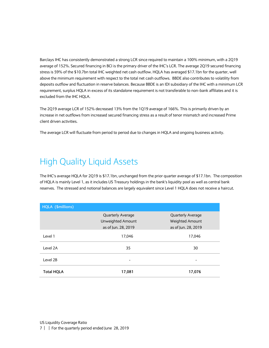Barclays IHC has consistently demonstrated a strong LCR since required to maintain a 100% minimum, with a 2Q19 average of 152%. Secured financing in BCI is the primary driver of the IHC's LCR. The average 2Q19 secured financing stress is 59% of the \$10.7bn total IHC weighted net cash outflow. HQLA has averaged \$17.1bn for the quarter, well above the minimum requirement with respect to the total net cash outflows. BBDE also contributes to volatility from deposits outflow and fluctuation in reserve balances. Because BBDE is an IDI subsidiary of the IHC with a minimum LCR requirement, surplus HQLA in excess of its standalone requirement is not transferable to non-bank affiliates and it is excluded from the IHC HQLA.

The 2Q19 average LCR of 152% decreased 13% from the 1Q19 average of 166%. This is primarily driven by an increase in net outflows from increased secured financing stress as a result of tenor mismatch and increased Prime client driven activities.

The average LCR will fluctuate from period to period due to changes in HQLA and ongoing business activity.

#### <span id="page-6-0"></span>High Quality Liquid Assets

The IHC's average HQLA for 2Q19 is \$17.1bn, unchanged from the prior quarter average of \$17.1bn. The composition of HQLA is mainly Level 1, as it includes US Treasury holdings in the bank's liquidity pool as well as central bank reserves. The stressed and notional balances are largely equivalent since Level 1 HQLA does not receive a haircut.

| HQLA (\$millions) |                          |                        |  |
|-------------------|--------------------------|------------------------|--|
|                   | <b>Quarterly Average</b> | Quarterly Average      |  |
|                   | Unweighted Amount        | <b>Weighted Amount</b> |  |
|                   | as of Jun. 28, 2019      | as of Jun. 28, 2019    |  |
| Level 1           | 17,046                   | 17,046                 |  |
| Level 2A          | 35                       | 30                     |  |
| Level 2B          | -                        |                        |  |
| <b>Total HQLA</b> | 17,081                   | 17,076                 |  |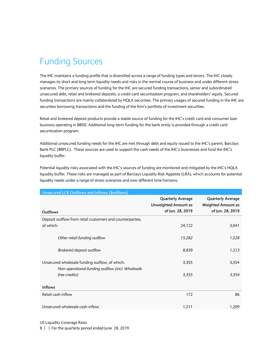## <span id="page-7-0"></span>Funding Sources

The IHC maintains a funding profile that is diversified across a range of funding types and tenors. The IHC closely manages its short and long term liquidity needs and risks in the normal course of business and under different stress scenarios. The primary sources of funding for the IHC are secured funding transactions, senior and subordinated unsecured debt, retail and brokered deposits, a credit card securitization program, and shareholders' equity. Secured funding transactions are mainly collateralized by HQLA securities. The primary usages of secured funding in the IHC are securities borrowing transactions and the funding of the firm's portfolio of investment securities.

Retail and brokered deposit products provide a stable source of funding for the IHC's credit card and consumer loan business operating in BBDE. Additional long-term funding for the bank entity is provided through a credit card securitization program.

Additional unsecured funding needs for the IHC are met through debt and equity issued to the IHC's parent, Barclays Bank PLC (BBPLC). These sources are used to support the cash needs of the IHC's businesses and fund the IHC's liquidity buffer.

Potential liquidity risks associated with the IHC's sources of funding are monitored and mitigated by the IHC's HQLA liquidity buffer. These risks are managed as part of Barclays Liquidity Risk Appetite (LRA), which accounts for potential liquidity needs under a range of stress scenarios and over different time horizons.

| <b>Unsecured LCR Outflows and Inflows (\$millions)</b>                                             |                                                                             |                                                                           |
|----------------------------------------------------------------------------------------------------|-----------------------------------------------------------------------------|---------------------------------------------------------------------------|
| Outflows                                                                                           | <b>Quarterly Average</b><br><b>Unweighted Amount as</b><br>of Jun. 28, 2019 | <b>Quarterly Average</b><br><b>Weighted Amount as</b><br>of Jun. 28, 2019 |
| Deposit outflow from retail customers and counterparties,                                          |                                                                             |                                                                           |
| of which:                                                                                          | 24,122                                                                      | 3,041                                                                     |
| Other retail funding outflow                                                                       | 15,282                                                                      | 1,528                                                                     |
| Brokered deposit outflow                                                                           | 8,839                                                                       | 1,513                                                                     |
| Unsecured wholesale funding outflow, of which:<br>Non-operational funding outflow (incl. Wholesale | 3,355                                                                       | 3,354                                                                     |
| free credits)                                                                                      | 3,355                                                                       | 3,354                                                                     |
| <b>Inflows</b>                                                                                     |                                                                             |                                                                           |
| Retail cash inflow                                                                                 | 172                                                                         | 86                                                                        |
| Unsecured wholesale cash inflow                                                                    | 1,211                                                                       | 1,209                                                                     |

US Liquidity Coverage Ratio

8 | For the quarterly period ended June 28, 2019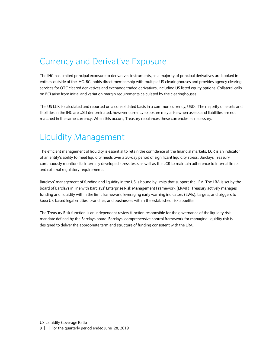#### <span id="page-8-0"></span>Currency and Derivative Exposure

The IHC has limited principal exposure to derivatives instruments, as a majority of principal derivatives are booked in entities outside of the IHC. BCI holds direct membership with multiple US clearinghouses and provides agency clearing services for OTC cleared derivatives and exchange traded derivatives, including US listed equity options. Collateral calls on BCI arise from initial and variation margin requirements calculated by the clearinghouses.

The US LCR is calculated and reported on a consolidated basis in a common currency, USD. The majority of assets and liabilities in the IHC are USD denominated, however currency exposure may arise when assets and liabilities are not matched in the same currency. When this occurs, Treasury rebalances these currencies as necessary.

### <span id="page-8-1"></span>Liquidity Management

The efficient management of liquidity is essential to retain the confidence of the financial markets. LCR is an indicator of an entity's ability to meet liquidity needs over a 30-day period of significant liquidity stress. Barclays Treasury continuously monitors its internally developed stress tests as well as the LCR to maintain adherence to internal limits and external regulatory requirements.

Barclays' management of funding and liquidity in the US is bound by limits that support the LRA. The LRA is set by the board of Barclays in line with Barclays' Enterprise Risk Management Framework (ERMF). Treasury actively manages funding and liquidity within the limit framework, leveraging early warning indicators (EWIs), targets, and triggers to keep US-based legal entities, branches, and businesses within the established risk appetite.

The Treasury Risk function is an independent review function responsible for the governance of the liquidity risk mandate defined by the Barclays board. Barclays' comprehensive control framework for managing liquidity risk is designed to deliver the appropriate term and structure of funding consistent with the LRA.